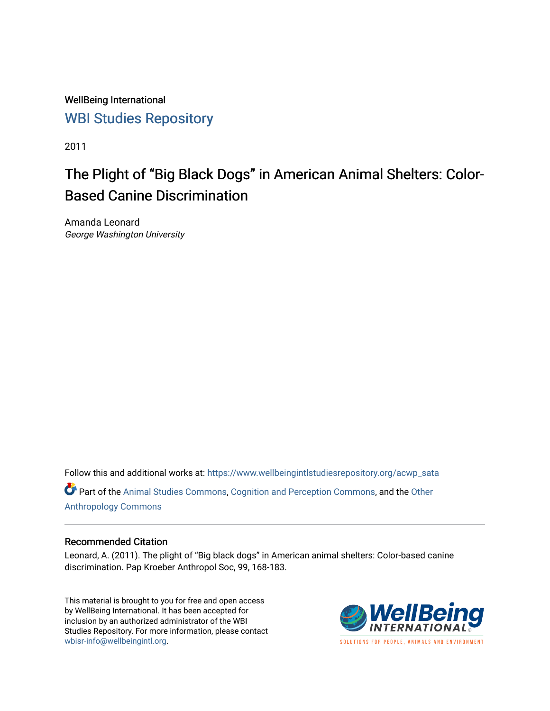WellBeing International [WBI Studies Repository](https://www.wellbeingintlstudiesrepository.org/)

2011

# The Plight of "Big Black Dogs" in American Animal Shelters: Color-Based Canine Discrimination

Amanda Leonard George Washington University

Follow this and additional works at: [https://www.wellbeingintlstudiesrepository.org/acwp\\_sata](https://www.wellbeingintlstudiesrepository.org/acwp_sata?utm_source=www.wellbeingintlstudiesrepository.org%2Facwp_sata%2F13&utm_medium=PDF&utm_campaign=PDFCoverPages)

Part of the [Animal Studies Commons,](http://network.bepress.com/hgg/discipline/1306?utm_source=www.wellbeingintlstudiesrepository.org%2Facwp_sata%2F13&utm_medium=PDF&utm_campaign=PDFCoverPages) [Cognition and Perception Commons,](http://network.bepress.com/hgg/discipline/407?utm_source=www.wellbeingintlstudiesrepository.org%2Facwp_sata%2F13&utm_medium=PDF&utm_campaign=PDFCoverPages) and the [Other](http://network.bepress.com/hgg/discipline/324?utm_source=www.wellbeingintlstudiesrepository.org%2Facwp_sata%2F13&utm_medium=PDF&utm_campaign=PDFCoverPages) [Anthropology Commons](http://network.bepress.com/hgg/discipline/324?utm_source=www.wellbeingintlstudiesrepository.org%2Facwp_sata%2F13&utm_medium=PDF&utm_campaign=PDFCoverPages)

#### Recommended Citation

Leonard, A. (2011). The plight of "Big black dogs" in American animal shelters: Color-based canine discrimination. Pap Kroeber Anthropol Soc, 99, 168-183.

This material is brought to you for free and open access by WellBeing International. It has been accepted for inclusion by an authorized administrator of the WBI Studies Repository. For more information, please contact [wbisr-info@wellbeingintl.org](mailto:wbisr-info@wellbeingintl.org).



SOLUTIONS FOR PEOPLE. ANIMALS AND ENVIRONMENT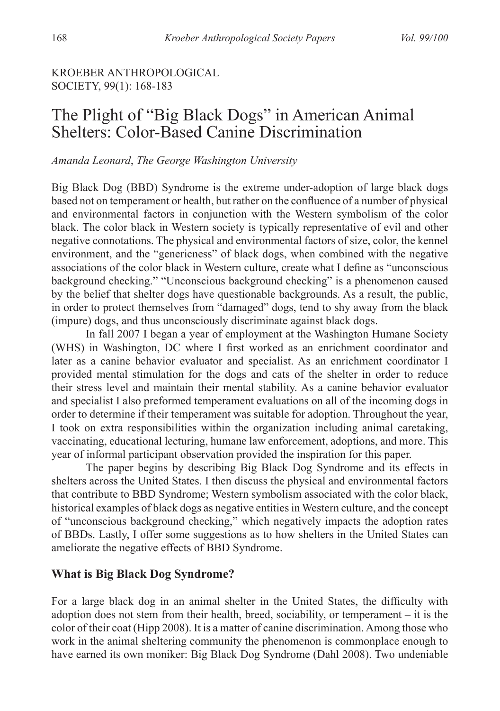## KROEBER ANTHROPOLOGICAL SOCIETY, 99(1): 168-183

## The Plight of "Big Black Dogs" in American Animal Shelters: Color-Based Canine Discrimination

#### *Amanda Leonard*, *The George Washington University*

Big Black Dog (BBD) Syndrome is the extreme under-adoption of large black dogs based not on temperament or health, but rather on the confluence of a number of physical and environmental factors in conjunction with the Western symbolism of the color black. The color black in Western society is typically representative of evil and other negative connotations. The physical and environmental factors of size, color, the kennel environment, and the "genericness" of black dogs, when combined with the negative associations of the color black in Western culture, create what I define as "unconscious background checking." "Unconscious background checking" is a phenomenon caused by the belief that shelter dogs have questionable backgrounds. As a result, the public, in order to protect themselves from "damaged" dogs, tend to shy away from the black (impure) dogs, and thus unconsciously discriminate against black dogs.

In fall 2007 I began a year of employment at the Washington Humane Society (WHS) in Washington, DC where I first worked as an enrichment coordinator and later as a canine behavior evaluator and specialist. As an enrichment coordinator I provided mental stimulation for the dogs and cats of the shelter in order to reduce their stress level and maintain their mental stability. As a canine behavior evaluator and specialist I also preformed temperament evaluations on all of the incoming dogs in order to determine if their temperament was suitable for adoption. Throughout the year, I took on extra responsibilities within the organization including animal caretaking, vaccinating, educational lecturing, humane law enforcement, adoptions, and more. This year of informal participant observation provided the inspiration for this paper.

The paper begins by describing Big Black Dog Syndrome and its effects in shelters across the United States. I then discuss the physical and environmental factors that contribute to BBD Syndrome; Western symbolism associated with the color black, historical examples of black dogs as negative entities in Western culture, and the concept of "unconscious background checking," which negatively impacts the adoption rates of BBDs. Lastly, I offer some suggestions as to how shelters in the United States can ameliorate the negative effects of BBD Syndrome.

## **What is Big Black Dog Syndrome?**

For a large black dog in an animal shelter in the United States, the difficulty with adoption does not stem from their health, breed, sociability, or temperament – it is the color of their coat (Hipp 2008). It is a matter of canine discrimination. Among those who work in the animal sheltering community the phenomenon is commonplace enough to have earned its own moniker: Big Black Dog Syndrome (Dahl 2008). Two undeniable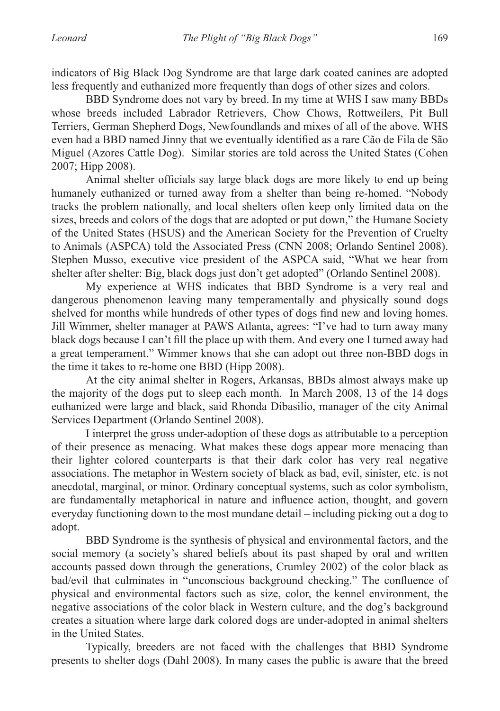indicators of Big Black Dog Syndrome are that large dark coated canines are adopted less frequently and euthanized more frequently than dogs of other sizes and colors.

BBD Syndrome does not vary by breed. In my time at WHS I saw many BBDs whose breeds included Labrador Retrievers, Chow Chows, Rottweilers, Pit Bull Terriers, German Shepherd Dogs, Newfoundlands and mixes of all of the above. WHS even had a BBD named Jinny that we eventually identified as a rare Cão de Fila de São Miguel (Azores Cattle Dog). Similar stories are told across the United States (Cohen 2007; Hipp 2008).

Animal shelter officials say large black dogs are more likely to end up being humanely euthanized or turned away from a shelter than being re-homed. "Nobody tracks the problem nationally, and local shelters often keep only limited data on the sizes, breeds and colors of the dogs that are adopted or put down," the Humane Society of the United States (HSUS) and the American Society for the Prevention of Cruelty to Animals (ASPCA) told the Associated Press (CNN 2008; Orlando Sentinel 2008). Stephen Musso, executive vice president of the ASPCA said, "What we hear from shelter after shelter: Big, black dogs just don't get adopted" (Orlando Sentinel 2008).

My experience at WHS indicates that BBD Syndrome is a very real and dangerous phenomenon leaving many temperamentally and physically sound dogs shelved for months while hundreds of other types of dogs find new and loving homes. Jill Wimmer, shelter manager at PAWS Atlanta, agrees: "I've had to turn away many black dogs because I can't fill the place up with them. And every one I turned away had a great temperament." Wimmer knows that she can adopt out three non-BBD dogs in the time it takes to re-home one BBD (Hipp 2008).

At the city animal shelter in Rogers, Arkansas, BBDs almost always make up the majority of the dogs put to sleep each month. In March 2008, 13 of the 14 dogs euthanized were large and black, said Rhonda Dibasilio, manager of the city Animal Services Department (Orlando Sentinel 2008).

I interpret the gross under-adoption of these dogs as attributable to a perception of their presence as menacing. What makes these dogs appear more menacing than their lighter colored counterparts is that their dark color has very real negative associations. The metaphor in Western society of black as bad, evil, sinister, etc. is not anecdotal, marginal, or minor. Ordinary conceptual systems, such as color symbolism, are fundamentally metaphorical in nature and influence action, thought, and govern everyday functioning down to the most mundane detail – including picking out a dog to adopt.

BBD Syndrome is the synthesis of physical and environmental factors, and the social memory (a society's shared beliefs about its past shaped by oral and written accounts passed down through the generations, Crumley 2002) of the color black as bad/evil that culminates in "unconscious background checking." The confluence of physical and environmental factors such as size, color, the kennel environment, the negative associations of the color black in Western culture, and the dog's background creates a situation where large dark colored dogs are under-adopted in animal shelters in the United States.

Typically, breeders are not faced with the challenges that BBD Syndrome presents to shelter dogs (Dahl 2008). In many cases the public is aware that the breed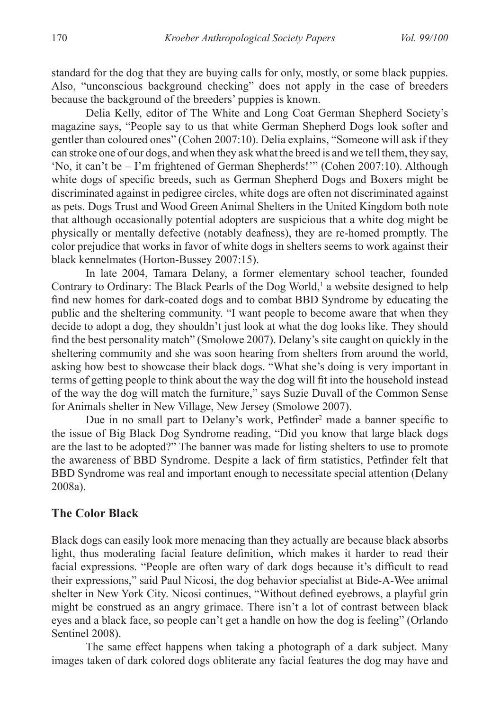standard for the dog that they are buying calls for only, mostly, or some black puppies. Also, "unconscious background checking" does not apply in the case of breeders because the background of the breeders' puppies is known.

Delia Kelly, editor of The White and Long Coat German Shepherd Society's magazine says, "People say to us that white German Shepherd Dogs look softer and gentler than coloured ones" (Cohen 2007:10). Delia explains, "Someone will ask if they can stroke one of our dogs, and when they ask what the breed is and we tell them, they say, 'No, it can't be – I'm frightened of German Shepherds!'" (Cohen 2007:10). Although white dogs of specific breeds, such as German Shepherd Dogs and Boxers might be discriminated against in pedigree circles, white dogs are often not discriminated against as pets. Dogs Trust and Wood Green Animal Shelters in the United Kingdom both note that although occasionally potential adopters are suspicious that a white dog might be physically or mentally defective (notably deafness), they are re-homed promptly. The color prejudice that works in favor of white dogs in shelters seems to work against their black kennelmates (Horton-Bussey 2007:15).

In late 2004, Tamara Delany, a former elementary school teacher, founded Contrary to Ordinary: The Black Pearls of the Dog World,<sup>1</sup> a website designed to help find new homes for dark-coated dogs and to combat BBD Syndrome by educating the public and the sheltering community. "I want people to become aware that when they decide to adopt a dog, they shouldn't just look at what the dog looks like. They should find the best personality match" (Smolowe 2007). Delany's site caught on quickly in the sheltering community and she was soon hearing from shelters from around the world, asking how best to showcase their black dogs. "What she's doing is very important in terms of getting people to think about the way the dog will fit into the household instead of the way the dog will match the furniture," says Suzie Duvall of the Common Sense for Animals shelter in New Village, New Jersey (Smolowe 2007).

Due in no small part to Delany's work, Petfinder<sup>2</sup> made a banner specific to the issue of Big Black Dog Syndrome reading, "Did you know that large black dogs are the last to be adopted?" The banner was made for listing shelters to use to promote the awareness of BBD Syndrome. Despite a lack of firm statistics, Petfinder felt that BBD Syndrome was real and important enough to necessitate special attention (Delany 2008a).

#### **The Color Black**

Black dogs can easily look more menacing than they actually are because black absorbs light, thus moderating facial feature definition, which makes it harder to read their facial expressions. "People are often wary of dark dogs because it's difficult to read their expressions," said Paul Nicosi, the dog behavior specialist at Bide-A-Wee animal shelter in New York City. Nicosi continues, "Without defined eyebrows, a playful grin might be construed as an angry grimace. There isn't a lot of contrast between black eyes and a black face, so people can't get a handle on how the dog is feeling" (Orlando Sentinel 2008).

The same effect happens when taking a photograph of a dark subject. Many images taken of dark colored dogs obliterate any facial features the dog may have and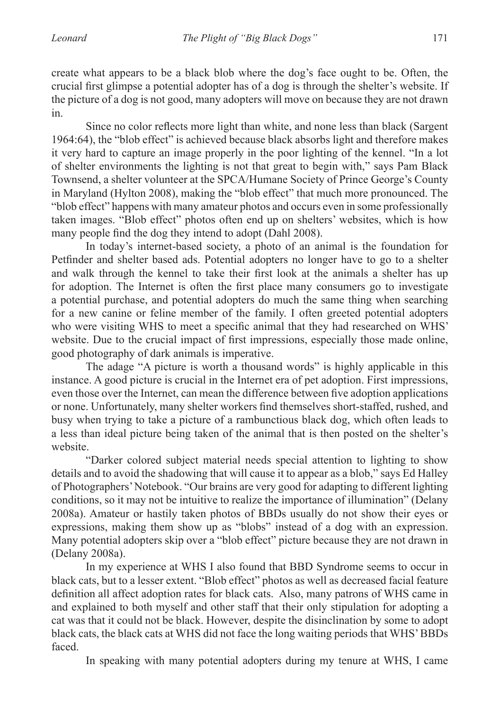create what appears to be a black blob where the dog's face ought to be. Often, the crucial first glimpse a potential adopter has of a dog is through the shelter's website. If the picture of a dog is not good, many adopters will move on because they are not drawn in.

Since no color reflects more light than white, and none less than black (Sargent 1964:64), the "blob effect" is achieved because black absorbs light and therefore makes it very hard to capture an image properly in the poor lighting of the kennel. "In a lot of shelter environments the lighting is not that great to begin with," says Pam Black Townsend, a shelter volunteer at the SPCA/Humane Society of Prince George's County in Maryland (Hylton 2008), making the "blob effect" that much more pronounced. The "blob effect" happens with many amateur photos and occurs even in some professionally taken images. "Blob effect" photos often end up on shelters' websites, which is how many people find the dog they intend to adopt (Dahl 2008).

In today's internet-based society, a photo of an animal is the foundation for Petfinder and shelter based ads. Potential adopters no longer have to go to a shelter and walk through the kennel to take their first look at the animals a shelter has up for adoption. The Internet is often the first place many consumers go to investigate a potential purchase, and potential adopters do much the same thing when searching for a new canine or feline member of the family. I often greeted potential adopters who were visiting WHS to meet a specific animal that they had researched on WHS' website. Due to the crucial impact of first impressions, especially those made online, good photography of dark animals is imperative.

The adage "A picture is worth a thousand words" is highly applicable in this instance. A good picture is crucial in the Internet era of pet adoption. First impressions, even those over the Internet, can mean the difference between five adoption applications or none. Unfortunately, many shelter workers find themselves short-staffed, rushed, and busy when trying to take a picture of a rambunctious black dog, which often leads to a less than ideal picture being taken of the animal that is then posted on the shelter's website.

"Darker colored subject material needs special attention to lighting to show details and to avoid the shadowing that will cause it to appear as a blob," says Ed Halley of Photographers' Notebook. "Our brains are very good for adapting to different lighting conditions, so it may not be intuitive to realize the importance of illumination" (Delany 2008a). Amateur or hastily taken photos of BBDs usually do not show their eyes or expressions, making them show up as "blobs" instead of a dog with an expression. Many potential adopters skip over a "blob effect" picture because they are not drawn in (Delany 2008a).

In my experience at WHS I also found that BBD Syndrome seems to occur in black cats, but to a lesser extent. "Blob effect" photos as well as decreased facial feature definition all affect adoption rates for black cats. Also, many patrons of WHS came in and explained to both myself and other staff that their only stipulation for adopting a cat was that it could not be black. However, despite the disinclination by some to adopt black cats, the black cats at WHS did not face the long waiting periods that WHS' BBDs faced.

In speaking with many potential adopters during my tenure at WHS, I came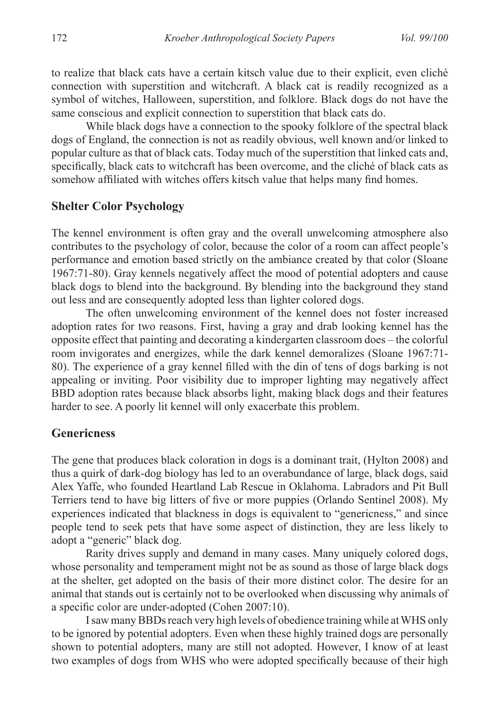to realize that black cats have a certain kitsch value due to their explicit, even cliché connection with superstition and witchcraft. A black cat is readily recognized as a symbol of witches, Halloween, superstition, and folklore. Black dogs do not have the same conscious and explicit connection to superstition that black cats do.

While black dogs have a connection to the spooky folklore of the spectral black dogs of England, the connection is not as readily obvious, well known and/or linked to popular culture as that of black cats. Today much of the superstition that linked cats and, specifically, black cats to witchcraft has been overcome, and the cliché of black cats as somehow affiliated with witches offers kitsch value that helps many find homes.

#### **Shelter Color Psychology**

The kennel environment is often gray and the overall unwelcoming atmosphere also contributes to the psychology of color, because the color of a room can affect people's performance and emotion based strictly on the ambiance created by that color (Sloane 1967:71-80). Gray kennels negatively affect the mood of potential adopters and cause black dogs to blend into the background. By blending into the background they stand out less and are consequently adopted less than lighter colored dogs.

The often unwelcoming environment of the kennel does not foster increased adoption rates for two reasons. First, having a gray and drab looking kennel has the opposite effect that painting and decorating a kindergarten classroom does – the colorful room invigorates and energizes, while the dark kennel demoralizes (Sloane 1967:71- 80). The experience of a gray kennel filled with the din of tens of dogs barking is not appealing or inviting. Poor visibility due to improper lighting may negatively affect BBD adoption rates because black absorbs light, making black dogs and their features harder to see. A poorly lit kennel will only exacerbate this problem.

#### **Genericness**

The gene that produces black coloration in dogs is a dominant trait, (Hylton 2008) and thus a quirk of dark-dog biology has led to an overabundance of large, black dogs, said Alex Yaffe, who founded Heartland Lab Rescue in Oklahoma. Labradors and Pit Bull Terriers tend to have big litters of five or more puppies (Orlando Sentinel 2008). My experiences indicated that blackness in dogs is equivalent to "genericness," and since people tend to seek pets that have some aspect of distinction, they are less likely to adopt a "generic" black dog.

Rarity drives supply and demand in many cases. Many uniquely colored dogs, whose personality and temperament might not be as sound as those of large black dogs at the shelter, get adopted on the basis of their more distinct color. The desire for an animal that stands out is certainly not to be overlooked when discussing why animals of a specific color are under-adopted (Cohen 2007:10).

I saw many BBDs reach very high levels of obedience training while at WHS only to be ignored by potential adopters. Even when these highly trained dogs are personally shown to potential adopters, many are still not adopted. However, I know of at least two examples of dogs from WHS who were adopted specifically because of their high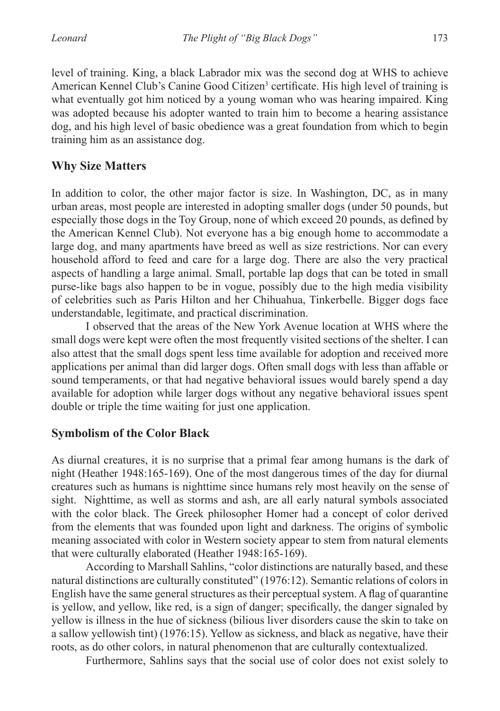level of training. King, a black Labrador mix was the second dog at WHS to achieve American Kennel Club's Canine Good Citizen<sup>3</sup> certificate. His high level of training is what eventually got him noticed by a young woman who was hearing impaired. King was adopted because his adopter wanted to train him to become a hearing assistance dog, and his high level of basic obedience was a great foundation from which to begin training him as an assistance dog.

## **Why Size Matters**

In addition to color, the other major factor is size. In Washington, DC, as in many urban areas, most people are interested in adopting smaller dogs (under 50 pounds, but especially those dogs in the Toy Group, none of which exceed 20 pounds, as defined by the American Kennel Club). Not everyone has a big enough home to accommodate a large dog, and many apartments have breed as well as size restrictions. Nor can every household afford to feed and care for a large dog. There are also the very practical aspects of handling a large animal. Small, portable lap dogs that can be toted in small purse-like bags also happen to be in vogue, possibly due to the high media visibility of celebrities such as Paris Hilton and her Chihuahua, Tinkerbelle. Bigger dogs face understandable, legitimate, and practical discrimination.

I observed that the areas of the New York Avenue location at WHS where the small dogs were kept were often the most frequently visited sections of the shelter. I can also attest that the small dogs spent less time available for adoption and received more applications per animal than did larger dogs. Often small dogs with less than affable or sound temperaments, or that had negative behavioral issues would barely spend a day available for adoption while larger dogs without any negative behavioral issues spent double or triple the time waiting for just one application.

## **Symbolism of the Color Black**

As diurnal creatures, it is no surprise that a primal fear among humans is the dark of night (Heather 1948:165-169). One of the most dangerous times of the day for diurnal creatures such as humans is nighttime since humans rely most heavily on the sense of sight. Nighttime, as well as storms and ash, are all early natural symbols associated with the color black. The Greek philosopher Homer had a concept of color derived from the elements that was founded upon light and darkness. The origins of symbolic meaning associated with color in Western society appear to stem from natural elements that were culturally elaborated (Heather 1948:165-169).

According to Marshall Sahlins, "color distinctions are naturally based, and these natural distinctions are culturally constituted" (1976:12). Semantic relations of colors in English have the same general structures as their perceptual system. A flag of quarantine is yellow, and yellow, like red, is a sign of danger; specifically, the danger signaled by yellow is illness in the hue of sickness (bilious liver disorders cause the skin to take on a sallow yellowish tint) (1976:15). Yellow as sickness, and black as negative, have their roots, as do other colors, in natural phenomenon that are culturally contextualized.

Furthermore, Sahlins says that the social use of color does not exist solely to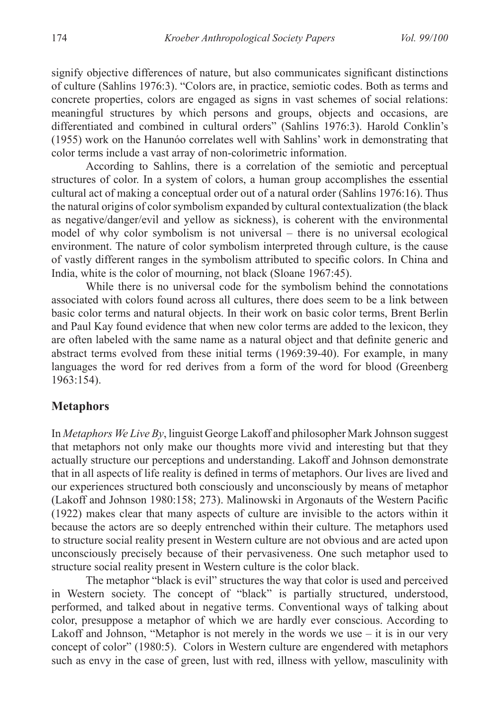signify objective differences of nature, but also communicates significant distinctions of culture (Sahlins 1976:3). "Colors are, in practice, semiotic codes. Both as terms and concrete properties, colors are engaged as signs in vast schemes of social relations: meaningful structures by which persons and groups, objects and occasions, are differentiated and combined in cultural orders" (Sahlins 1976:3). Harold Conklin's (1955) work on the Hanunóo correlates well with Sahlins' work in demonstrating that color terms include a vast array of non-colorimetric information.

According to Sahlins, there is a correlation of the semiotic and perceptual structures of color. In a system of colors, a human group accomplishes the essential cultural act of making a conceptual order out of a natural order (Sahlins 1976:16). Thus the natural origins of color symbolism expanded by cultural contextualization (the black as negative/danger/evil and yellow as sickness), is coherent with the environmental model of why color symbolism is not universal – there is no universal ecological environment. The nature of color symbolism interpreted through culture, is the cause of vastly different ranges in the symbolism attributed to specific colors. In China and India, white is the color of mourning, not black (Sloane 1967:45).

While there is no universal code for the symbolism behind the connotations associated with colors found across all cultures, there does seem to be a link between basic color terms and natural objects. In their work on basic color terms, Brent Berlin and Paul Kay found evidence that when new color terms are added to the lexicon, they are often labeled with the same name as a natural object and that definite generic and abstract terms evolved from these initial terms (1969:39-40). For example, in many languages the word for red derives from a form of the word for blood (Greenberg 1963:154).

## **Metaphors**

In *Metaphors We Live By*, linguist George Lakoff and philosopher Mark Johnson suggest that metaphors not only make our thoughts more vivid and interesting but that they actually structure our perceptions and understanding. Lakoff and Johnson demonstrate that in all aspects of life reality is defined in terms of metaphors. Our lives are lived and our experiences structured both consciously and unconsciously by means of metaphor (Lakoff and Johnson 1980:158; 273). Malinowski in Argonauts of the Western Pacific (1922) makes clear that many aspects of culture are invisible to the actors within it because the actors are so deeply entrenched within their culture. The metaphors used to structure social reality present in Western culture are not obvious and are acted upon unconsciously precisely because of their pervasiveness. One such metaphor used to structure social reality present in Western culture is the color black.

The metaphor "black is evil" structures the way that color is used and perceived in Western society. The concept of "black" is partially structured, understood, performed, and talked about in negative terms. Conventional ways of talking about color, presuppose a metaphor of which we are hardly ever conscious. According to Lakoff and Johnson, "Metaphor is not merely in the words we use – it is in our very concept of color" (1980:5). Colors in Western culture are engendered with metaphors such as envy in the case of green, lust with red, illness with yellow, masculinity with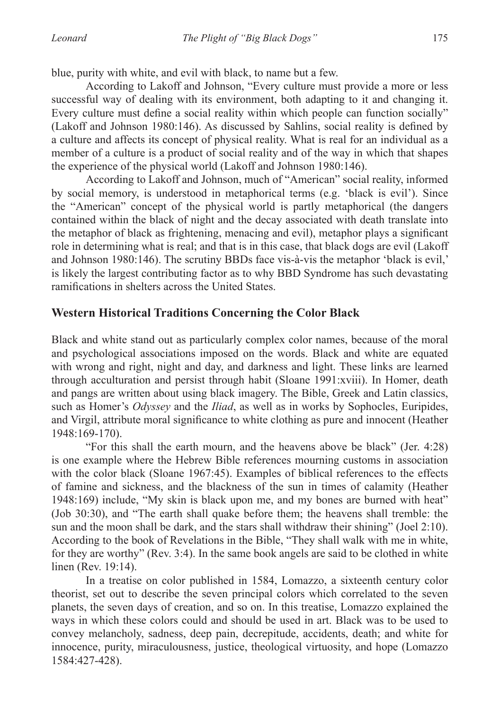blue, purity with white, and evil with black, to name but a few.

According to Lakoff and Johnson, "Every culture must provide a more or less successful way of dealing with its environment, both adapting to it and changing it. Every culture must define a social reality within which people can function socially" (Lakoff and Johnson 1980:146). As discussed by Sahlins, social reality is defined by a culture and affects its concept of physical reality. What is real for an individual as a member of a culture is a product of social reality and of the way in which that shapes the experience of the physical world (Lakoff and Johnson 1980:146).

According to Lakoff and Johnson, much of "American" social reality, informed by social memory, is understood in metaphorical terms (e.g. 'black is evil'). Since the "American" concept of the physical world is partly metaphorical (the dangers contained within the black of night and the decay associated with death translate into the metaphor of black as frightening, menacing and evil), metaphor plays a significant role in determining what is real; and that is in this case, that black dogs are evil (Lakoff and Johnson 1980:146). The scrutiny BBDs face vis-à-vis the metaphor 'black is evil,' is likely the largest contributing factor as to why BBD Syndrome has such devastating ramifications in shelters across the United States.

## **Western Historical Traditions Concerning the Color Black**

Black and white stand out as particularly complex color names, because of the moral and psychological associations imposed on the words. Black and white are equated with wrong and right, night and day, and darkness and light. These links are learned through acculturation and persist through habit (Sloane 1991:xviii). In Homer, death and pangs are written about using black imagery. The Bible, Greek and Latin classics, such as Homer's *Odyssey* and the *Iliad*, as well as in works by Sophocles, Euripides, and Virgil, attribute moral significance to white clothing as pure and innocent (Heather 1948:169-170).

"For this shall the earth mourn, and the heavens above be black" (Jer. 4:28) is one example where the Hebrew Bible references mourning customs in association with the color black (Sloane 1967:45). Examples of biblical references to the effects of famine and sickness, and the blackness of the sun in times of calamity (Heather 1948:169) include, "My skin is black upon me, and my bones are burned with heat" (Job 30:30), and "The earth shall quake before them; the heavens shall tremble: the sun and the moon shall be dark, and the stars shall withdraw their shining" (Joel 2:10). According to the book of Revelations in the Bible, "They shall walk with me in white, for they are worthy" (Rev. 3:4). In the same book angels are said to be clothed in white linen (Rev. 19:14).

In a treatise on color published in 1584, Lomazzo, a sixteenth century color theorist, set out to describe the seven principal colors which correlated to the seven planets, the seven days of creation, and so on. In this treatise, Lomazzo explained the ways in which these colors could and should be used in art. Black was to be used to convey melancholy, sadness, deep pain, decrepitude, accidents, death; and white for innocence, purity, miraculousness, justice, theological virtuosity, and hope (Lomazzo 1584:427-428).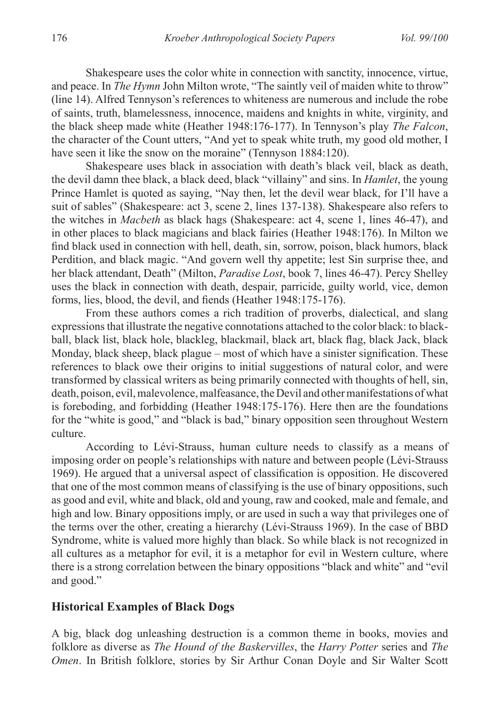Shakespeare uses the color white in connection with sanctity, innocence, virtue, and peace. In *The Hymn* John Milton wrote, "The saintly veil of maiden white to throw" (line 14). Alfred Tennyson's references to whiteness are numerous and include the robe of saints, truth, blamelessness, innocence, maidens and knights in white, virginity, and the black sheep made white (Heather 1948:176-177). In Tennyson's play *The Falcon*, the character of the Count utters, "And yet to speak white truth, my good old mother, I have seen it like the snow on the moraine" (Tennyson 1884:120).

Shakespeare uses black in association with death's black veil, black as death, the devil damn thee black, a black deed, black "villainy" and sins. In *Hamlet*, the young Prince Hamlet is quoted as saying, "Nay then, let the devil wear black, for I'll have a suit of sables" (Shakespeare: act 3, scene 2, lines 137-138). Shakespeare also refers to the witches in *Macbeth* as black hags (Shakespeare: act 4, scene 1, lines 46-47), and in other places to black magicians and black fairies (Heather 1948:176). In Milton we find black used in connection with hell, death, sin, sorrow, poison, black humors, black Perdition, and black magic. "And govern well thy appetite; lest Sin surprise thee, and her black attendant, Death" (Milton, *Paradise Lost*, book 7, lines 46-47). Percy Shelley uses the black in connection with death, despair, parricide, guilty world, vice, demon forms, lies, blood, the devil, and fiends (Heather 1948:175-176).

From these authors comes a rich tradition of proverbs, dialectical, and slang expressions that illustrate the negative connotations attached to the color black: to blackball, black list, black hole, blackleg, blackmail, black art, black flag, black Jack, black Monday, black sheep, black plague – most of which have a sinister signification. These references to black owe their origins to initial suggestions of natural color, and were transformed by classical writers as being primarily connected with thoughts of hell, sin, death, poison, evil, malevolence, malfeasance, the Devil and other manifestations of what is foreboding, and forbidding (Heather 1948:175-176). Here then are the foundations for the "white is good," and "black is bad," binary opposition seen throughout Western culture.

According to Lévi-Strauss, human culture needs to classify as a means of imposing order on people's relationships with nature and between people (Lévi-Strauss 1969). He argued that a universal aspect of classification is opposition. He discovered that one of the most common means of classifying is the use of binary oppositions, such as good and evil, white and black, old and young, raw and cooked, male and female, and high and low. Binary oppositions imply, or are used in such a way that privileges one of the terms over the other, creating a hierarchy (Lévi-Strauss 1969). In the case of BBD Syndrome, white is valued more highly than black. So while black is not recognized in all cultures as a metaphor for evil, it is a metaphor for evil in Western culture, where there is a strong correlation between the binary oppositions "black and white" and "evil and good."

#### **Historical Examples of Black Dogs**

A big, black dog unleashing destruction is a common theme in books, movies and folklore as diverse as *The Hound of the Baskervilles*, the *Harry Potter* series and *The Omen*. In British folklore, stories by Sir Arthur Conan Doyle and Sir Walter Scott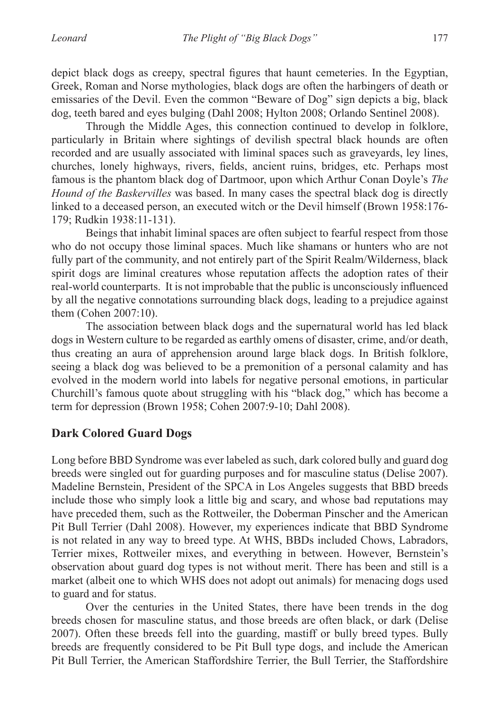depict black dogs as creepy, spectral figures that haunt cemeteries. In the Egyptian, Greek, Roman and Norse mythologies, black dogs are often the harbingers of death or emissaries of the Devil. Even the common "Beware of Dog" sign depicts a big, black dog, teeth bared and eyes bulging (Dahl 2008; Hylton 2008; Orlando Sentinel 2008).

Through the Middle Ages, this connection continued to develop in folklore, particularly in Britain where sightings of devilish spectral black hounds are often recorded and are usually associated with liminal spaces such as graveyards, ley lines, churches, lonely highways, rivers, fields, ancient ruins, bridges, etc. Perhaps most famous is the phantom black dog of Dartmoor, upon which Arthur Conan Doyle's *The Hound of the Baskervilles* was based. In many cases the spectral black dog is directly linked to a deceased person, an executed witch or the Devil himself (Brown 1958:176- 179; Rudkin 1938:11-131).

Beings that inhabit liminal spaces are often subject to fearful respect from those who do not occupy those liminal spaces. Much like shamans or hunters who are not fully part of the community, and not entirely part of the Spirit Realm/Wilderness, black spirit dogs are liminal creatures whose reputation affects the adoption rates of their real-world counterparts. It is not improbable that the public is unconsciously influenced by all the negative connotations surrounding black dogs, leading to a prejudice against them (Cohen 2007:10).

The association between black dogs and the supernatural world has led black dogs in Western culture to be regarded as earthly omens of disaster, crime, and/or death, thus creating an aura of apprehension around large black dogs. In British folklore, seeing a black dog was believed to be a premonition of a personal calamity and has evolved in the modern world into labels for negative personal emotions, in particular Churchill's famous quote about struggling with his "black dog," which has become a term for depression (Brown 1958; Cohen 2007:9-10; Dahl 2008).

## **Dark Colored Guard Dogs**

Long before BBD Syndrome was ever labeled as such, dark colored bully and guard dog breeds were singled out for guarding purposes and for masculine status (Delise 2007). Madeline Bernstein, President of the SPCA in Los Angeles suggests that BBD breeds include those who simply look a little big and scary, and whose bad reputations may have preceded them, such as the Rottweiler, the Doberman Pinscher and the American Pit Bull Terrier (Dahl 2008). However, my experiences indicate that BBD Syndrome is not related in any way to breed type. At WHS, BBDs included Chows, Labradors, Terrier mixes, Rottweiler mixes, and everything in between. However, Bernstein's observation about guard dog types is not without merit. There has been and still is a market (albeit one to which WHS does not adopt out animals) for menacing dogs used to guard and for status.

Over the centuries in the United States, there have been trends in the dog breeds chosen for masculine status, and those breeds are often black, or dark (Delise 2007). Often these breeds fell into the guarding, mastiff or bully breed types. Bully breeds are frequently considered to be Pit Bull type dogs, and include the American Pit Bull Terrier, the American Staffordshire Terrier, the Bull Terrier, the Staffordshire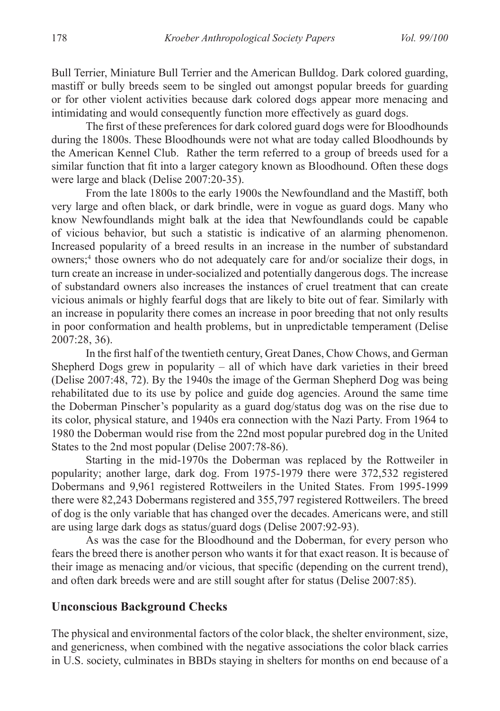Bull Terrier, Miniature Bull Terrier and the American Bulldog. Dark colored guarding, mastiff or bully breeds seem to be singled out amongst popular breeds for guarding or for other violent activities because dark colored dogs appear more menacing and intimidating and would consequently function more effectively as guard dogs.

The first of these preferences for dark colored guard dogs were for Bloodhounds during the 1800s. These Bloodhounds were not what are today called Bloodhounds by the American Kennel Club. Rather the term referred to a group of breeds used for a similar function that fit into a larger category known as Bloodhound. Often these dogs were large and black (Delise 2007:20-35).

From the late 1800s to the early 1900s the Newfoundland and the Mastiff, both very large and often black, or dark brindle, were in vogue as guard dogs. Many who know Newfoundlands might balk at the idea that Newfoundlands could be capable of vicious behavior, but such a statistic is indicative of an alarming phenomenon. Increased popularity of a breed results in an increase in the number of substandard owners;<sup>4</sup> those owners who do not adequately care for and/or socialize their dogs, in turn create an increase in under-socialized and potentially dangerous dogs. The increase of substandard owners also increases the instances of cruel treatment that can create vicious animals or highly fearful dogs that are likely to bite out of fear. Similarly with an increase in popularity there comes an increase in poor breeding that not only results in poor conformation and health problems, but in unpredictable temperament (Delise 2007:28, 36).

In the first half of the twentieth century, Great Danes, Chow Chows, and German Shepherd Dogs grew in popularity – all of which have dark varieties in their breed (Delise 2007:48, 72). By the 1940s the image of the German Shepherd Dog was being rehabilitated due to its use by police and guide dog agencies. Around the same time the Doberman Pinscher's popularity as a guard dog/status dog was on the rise due to its color, physical stature, and 1940s era connection with the Nazi Party. From 1964 to 1980 the Doberman would rise from the 22nd most popular purebred dog in the United States to the 2nd most popular (Delise 2007:78-86).

Starting in the mid-1970s the Doberman was replaced by the Rottweiler in popularity; another large, dark dog. From 1975-1979 there were 372,532 registered Dobermans and 9,961 registered Rottweilers in the United States. From 1995-1999 there were 82,243 Dobermans registered and 355,797 registered Rottweilers. The breed of dog is the only variable that has changed over the decades. Americans were, and still are using large dark dogs as status/guard dogs (Delise 2007:92-93).

As was the case for the Bloodhound and the Doberman, for every person who fears the breed there is another person who wants it for that exact reason. It is because of their image as menacing and/or vicious, that specific (depending on the current trend), and often dark breeds were and are still sought after for status (Delise 2007:85).

## **Unconscious Background Checks**

The physical and environmental factors of the color black, the shelter environment, size, and genericness, when combined with the negative associations the color black carries in U.S. society, culminates in BBDs staying in shelters for months on end because of a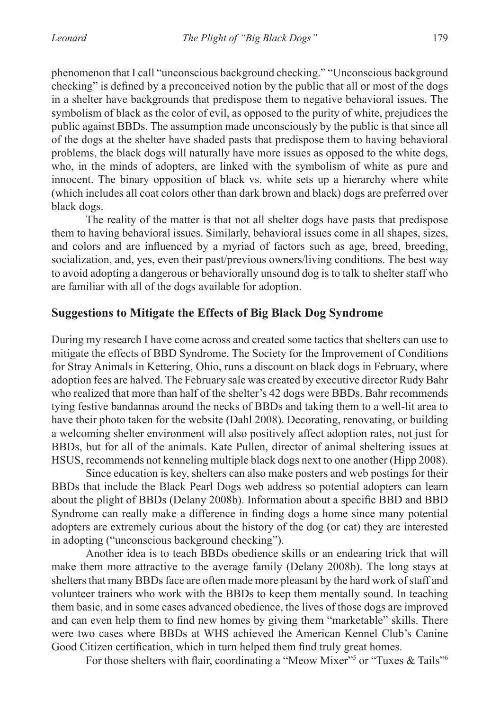phenomenon that I call "unconscious background checking." "Unconscious background checking" is defined by a preconceived notion by the public that all or most of the dogs in a shelter have backgrounds that predispose them to negative behavioral issues. The symbolism of black as the color of evil, as opposed to the purity of white, prejudices the public against BBDs. The assumption made unconsciously by the public is that since all of the dogs at the shelter have shaded pasts that predispose them to having behavioral problems, the black dogs will naturally have more issues as opposed to the white dogs, who, in the minds of adopters, are linked with the symbolism of white as pure and innocent. The binary opposition of black vs. white sets up a hierarchy where white (which includes all coat colors other than dark brown and black) dogs are preferred over black dogs.

The reality of the matter is that not all shelter dogs have pasts that predispose them to having behavioral issues. Similarly, behavioral issues come in all shapes, sizes, and colors and are influenced by a myriad of factors such as age, breed, breeding, socialization, and, yes, even their past/previous owners/living conditions. The best way to avoid adopting a dangerous or behaviorally unsound dog is to talk to shelter staff who are familiar with all of the dogs available for adoption.

## **Suggestions to Mitigate the Effects of Big Black Dog Syndrome**

During my research I have come across and created some tactics that shelters can use to mitigate the effects of BBD Syndrome. The Society for the Improvement of Conditions for Stray Animals in Kettering, Ohio, runs a discount on black dogs in February, where adoption fees are halved. The February sale was created by executive director Rudy Bahr who realized that more than half of the shelter's 42 dogs were BBDs. Bahr recommends tying festive bandannas around the necks of BBDs and taking them to a well-lit area to have their photo taken for the website (Dahl 2008). Decorating, renovating, or building a welcoming shelter environment will also positively affect adoption rates, not just for BBDs, but for all of the animals. Kate Pullen, director of animal sheltering issues at HSUS, recommends not kenneling multiple black dogs next to one another (Hipp 2008).

Since education is key, shelters can also make posters and web postings for their BBDs that include the Black Pearl Dogs web address so potential adopters can learn about the plight of BBDs (Delany 2008b). Information about a specific BBD and BBD Syndrome can really make a difference in finding dogs a home since many potential adopters are extremely curious about the history of the dog (or cat) they are interested in adopting ("unconscious background checking").

Another idea is to teach BBDs obedience skills or an endearing trick that will make them more attractive to the average family (Delany 2008b). The long stays at shelters that many BBDs face are often made more pleasant by the hard work of staff and volunteer trainers who work with the BBDs to keep them mentally sound. In teaching them basic, and in some cases advanced obedience, the lives of those dogs are improved and can even help them to find new homes by giving them "marketable" skills. There were two cases where BBDs at WHS achieved the American Kennel Club's Canine Good Citizen certification, which in turn helped them find truly great homes.

For those shelters with flair, coordinating a "Meow Mixer"<sup>5</sup> or "Tuxes & Tails"<sup>6</sup>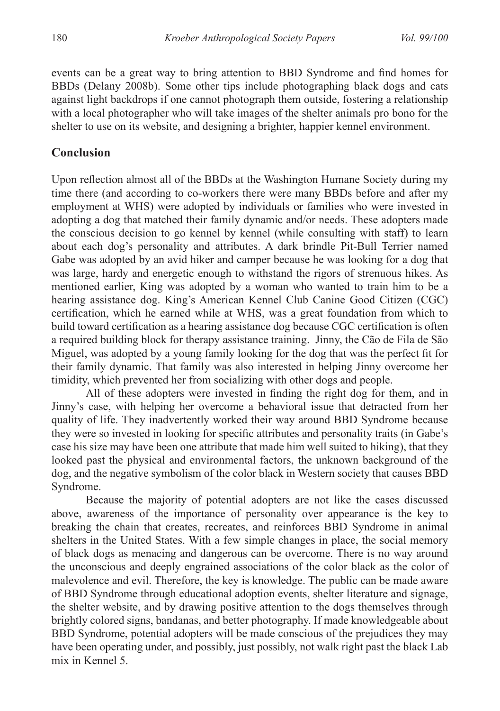events can be a great way to bring attention to BBD Syndrome and find homes for BBDs (Delany 2008b). Some other tips include photographing black dogs and cats against light backdrops if one cannot photograph them outside, fostering a relationship with a local photographer who will take images of the shelter animals pro bono for the shelter to use on its website, and designing a brighter, happier kennel environment.

## **Conclusion**

Upon reflection almost all of the BBDs at the Washington Humane Society during my time there (and according to co-workers there were many BBDs before and after my employment at WHS) were adopted by individuals or families who were invested in adopting a dog that matched their family dynamic and/or needs. These adopters made the conscious decision to go kennel by kennel (while consulting with staff) to learn about each dog's personality and attributes. A dark brindle Pit-Bull Terrier named Gabe was adopted by an avid hiker and camper because he was looking for a dog that was large, hardy and energetic enough to withstand the rigors of strenuous hikes. As mentioned earlier, King was adopted by a woman who wanted to train him to be a hearing assistance dog. King's American Kennel Club Canine Good Citizen (CGC) certification, which he earned while at WHS, was a great foundation from which to build toward certification as a hearing assistance dog because CGC certification is often a required building block for therapy assistance training. Jinny, the Cão de Fila de São Miguel, was adopted by a young family looking for the dog that was the perfect fit for their family dynamic. That family was also interested in helping Jinny overcome her timidity, which prevented her from socializing with other dogs and people.

All of these adopters were invested in finding the right dog for them, and in Jinny's case, with helping her overcome a behavioral issue that detracted from her quality of life. They inadvertently worked their way around BBD Syndrome because they were so invested in looking for specific attributes and personality traits (in Gabe's case his size may have been one attribute that made him well suited to hiking), that they looked past the physical and environmental factors, the unknown background of the dog, and the negative symbolism of the color black in Western society that causes BBD Syndrome.

Because the majority of potential adopters are not like the cases discussed above, awareness of the importance of personality over appearance is the key to breaking the chain that creates, recreates, and reinforces BBD Syndrome in animal shelters in the United States. With a few simple changes in place, the social memory of black dogs as menacing and dangerous can be overcome. There is no way around the unconscious and deeply engrained associations of the color black as the color of malevolence and evil. Therefore, the key is knowledge. The public can be made aware of BBD Syndrome through educational adoption events, shelter literature and signage, the shelter website, and by drawing positive attention to the dogs themselves through brightly colored signs, bandanas, and better photography. If made knowledgeable about BBD Syndrome, potential adopters will be made conscious of the prejudices they may have been operating under, and possibly, just possibly, not walk right past the black Lab mix in Kennel 5.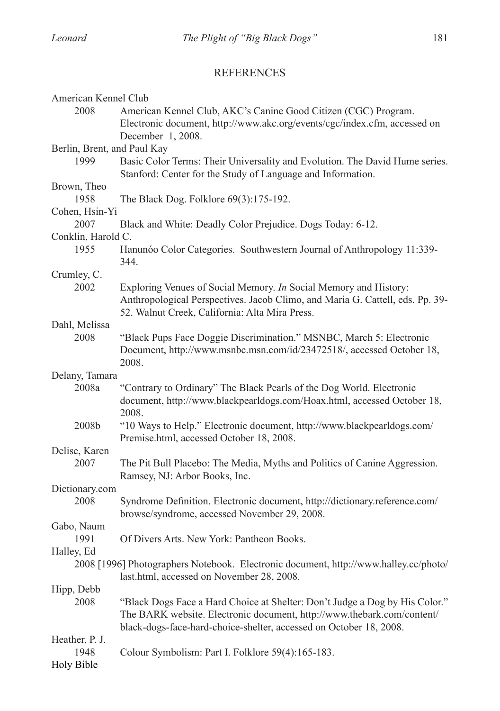## REFERENCES

| American Kennel Club                                                                 |  |  |
|--------------------------------------------------------------------------------------|--|--|
| 2008<br>American Kennel Club, AKC's Canine Good Citizen (CGC) Program.               |  |  |
| Electronic document, http://www.akc.org/events/cgc/index.cfm, accessed on            |  |  |
| December 1, 2008.                                                                    |  |  |
| Berlin, Brent, and Paul Kay                                                          |  |  |
| Basic Color Terms: Their Universality and Evolution. The David Hume series.<br>1999  |  |  |
| Stanford: Center for the Study of Language and Information.                          |  |  |
| Brown, Theo                                                                          |  |  |
| 1958<br>The Black Dog. Folklore 69(3):175-192.                                       |  |  |
| Cohen, Hsin-Yi                                                                       |  |  |
| 2007<br>Black and White: Deadly Color Prejudice. Dogs Today: 6-12.                   |  |  |
| Conklin, Harold C.                                                                   |  |  |
| 1955<br>Hanunóo Color Categories. Southwestern Journal of Anthropology 11:339-       |  |  |
| 344.                                                                                 |  |  |
| Crumley, C.                                                                          |  |  |
| 2002<br>Exploring Venues of Social Memory. In Social Memory and History:             |  |  |
| Anthropological Perspectives. Jacob Climo, and Maria G. Cattell, eds. Pp. 39-        |  |  |
| 52. Walnut Creek, California: Alta Mira Press.                                       |  |  |
| Dahl, Melissa                                                                        |  |  |
| "Black Pups Face Doggie Discrimination." MSNBC, March 5: Electronic<br>2008          |  |  |
| Document, http://www.msnbc.msn.com/id/23472518/, accessed October 18,                |  |  |
| 2008.                                                                                |  |  |
| Delany, Tamara                                                                       |  |  |
| "Contrary to Ordinary" The Black Pearls of the Dog World. Electronic<br>2008a        |  |  |
| document, http://www.blackpearldogs.com/Hoax.html, accessed October 18,              |  |  |
| 2008.                                                                                |  |  |
| 2008b<br>"10 Ways to Help." Electronic document, http://www.blackpearldogs.com/      |  |  |
| Premise.html, accessed October 18, 2008.                                             |  |  |
| Delise, Karen                                                                        |  |  |
| 2007<br>The Pit Bull Placebo: The Media, Myths and Politics of Canine Aggression.    |  |  |
| Ramsey, NJ: Arbor Books, Inc.                                                        |  |  |
| Dictionary.com                                                                       |  |  |
| 2008<br>Syndrome Definition. Electronic document, http://dictionary.reference.com/   |  |  |
| browse/syndrome, accessed November 29, 2008.                                         |  |  |
| Gabo, Naum                                                                           |  |  |
| 1991<br>Of Divers Arts. New York: Pantheon Books.                                    |  |  |
| Halley, Ed                                                                           |  |  |
| 2008 [1996] Photographers Notebook. Electronic document, http://www.halley.cc/photo/ |  |  |
| last.html, accessed on November 28, 2008.                                            |  |  |
| Hipp, Debb                                                                           |  |  |
| "Black Dogs Face a Hard Choice at Shelter: Don't Judge a Dog by His Color."<br>2008  |  |  |
| The BARK website. Electronic document, http://www.thebark.com/content/               |  |  |
| black-dogs-face-hard-choice-shelter, accessed on October 18, 2008.                   |  |  |
| Heather, P. J.                                                                       |  |  |
| 1948<br>Colour Symbolism: Part I. Folklore 59(4):165-183.                            |  |  |
| <b>Holy Bible</b>                                                                    |  |  |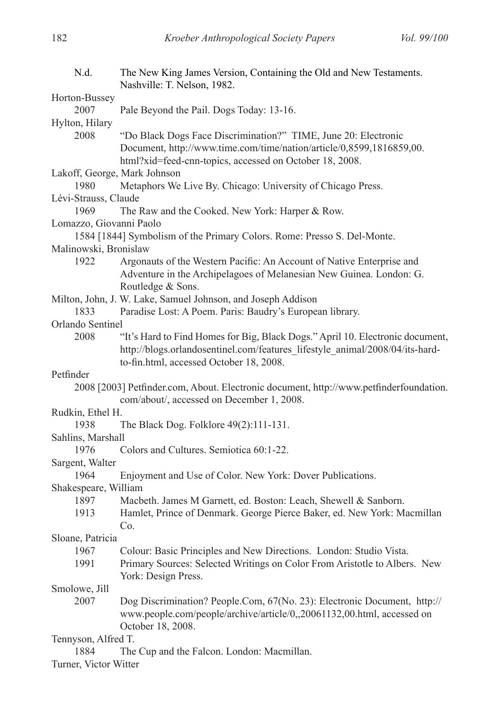| N.d.                         | The New King James Version, Containing the Old and New Testaments.<br>Nashville: T. Nelson, 1982.                                   |  |
|------------------------------|-------------------------------------------------------------------------------------------------------------------------------------|--|
| Horton-Bussey                |                                                                                                                                     |  |
| 2007                         | Pale Beyond the Pail. Dogs Today: 13-16.                                                                                            |  |
| Hylton, Hilary               |                                                                                                                                     |  |
| 2008                         | "Do Black Dogs Face Discrimination?" TIME, June 20: Electronic                                                                      |  |
|                              | Document, http://www.time.com/time/nation/article/0,8599,1816859,00.<br>html?xid=feed-cnn-topics, accessed on October 18, 2008.     |  |
| Lakoff, George, Mark Johnson |                                                                                                                                     |  |
| 1980                         | Metaphors We Live By. Chicago: University of Chicago Press.                                                                         |  |
| Lévi-Strauss, Claude         |                                                                                                                                     |  |
| 1969                         | The Raw and the Cooked. New York: Harper & Row.                                                                                     |  |
| Lomazzo, Giovanni Paolo      |                                                                                                                                     |  |
|                              | 1584 [1844] Symbolism of the Primary Colors. Rome: Presso S. Del-Monte.                                                             |  |
| Malinowski, Bronislaw        |                                                                                                                                     |  |
| 1922                         | Argonauts of the Western Pacific: An Account of Native Enterprise and                                                               |  |
|                              | Adventure in the Archipelagoes of Melanesian New Guinea. London: G.<br>Routledge & Sons.                                            |  |
|                              | Milton, John, J. W. Lake, Samuel Johnson, and Joseph Addison                                                                        |  |
| 1833                         | Paradise Lost: A Poem. Paris: Baudry's European library.                                                                            |  |
| Orlando Sentinel             |                                                                                                                                     |  |
| 2008                         | "It's Hard to Find Homes for Big, Black Dogs." April 10. Electronic document,                                                       |  |
|                              | http://blogs.orlandosentinel.com/features lifestyle animal/2008/04/its-hard-<br>to-fin.html, accessed October 18, 2008.             |  |
| Petfinder                    |                                                                                                                                     |  |
|                              | 2008 [2003] Petfinder.com, About. Electronic document, http://www.petfinderfoundation.<br>com/about/, accessed on December 1, 2008. |  |
| Rudkin, Ethel H.             |                                                                                                                                     |  |
| 1938                         | The Black Dog. Folklore 49(2):111-131.                                                                                              |  |
| Sahlins, Marshall            |                                                                                                                                     |  |
| 1976                         | Colors and Cultures. Semiotica 60:1-22.                                                                                             |  |
| Sargent, Walter              |                                                                                                                                     |  |
| 1964                         | Enjoyment and Use of Color. New York: Dover Publications.                                                                           |  |
| Shakespeare, William         |                                                                                                                                     |  |
| 1897                         | Macbeth. James M Garnett, ed. Boston: Leach, Shewell & Sanborn.                                                                     |  |
| 1913                         | Hamlet, Prince of Denmark. George Pierce Baker, ed. New York: Macmillan<br>Co.                                                      |  |
| Sloane, Patricia             |                                                                                                                                     |  |
| 1967                         | Colour: Basic Principles and New Directions. London: Studio Vista.                                                                  |  |
| 1991                         | Primary Sources: Selected Writings on Color From Aristotle to Albers. New                                                           |  |
|                              | York: Design Press.                                                                                                                 |  |
| Smolowe, Jill                |                                                                                                                                     |  |
| 2007                         | Dog Discrimination? People.Com, 67(No. 23): Electronic Document, http://                                                            |  |
|                              | www.people.com/people/archive/article/0,,20061132,00.html, accessed on                                                              |  |
|                              | October 18, 2008.                                                                                                                   |  |
| Tennyson, Alfred T.<br>1884  | The Cup and the Falcon. London: Macmillan.                                                                                          |  |
|                              |                                                                                                                                     |  |
| Turner, Victor Witter        |                                                                                                                                     |  |